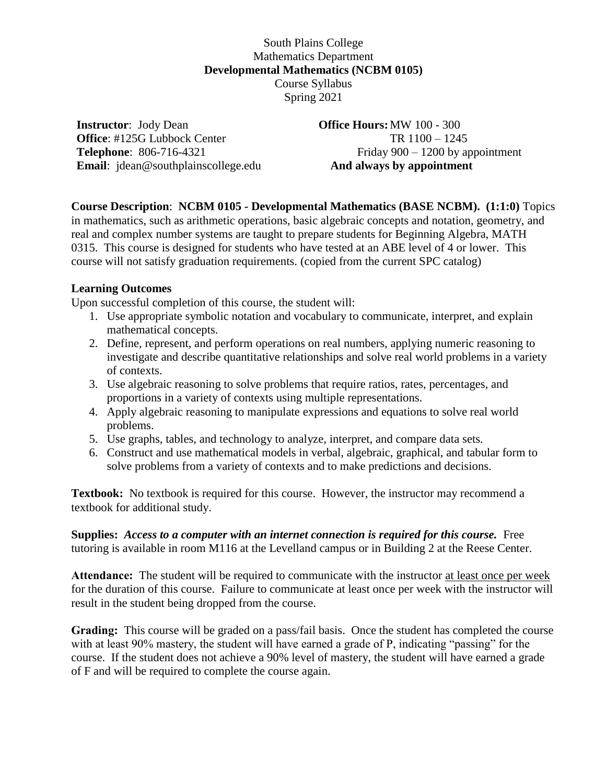## South Plains College Mathematics Department **Developmental Mathematics (NCBM 0105)** Course Syllabus Spring 2021

**Instructor**: Jody Dean **Office**: #125G Lubbock Center **Telephone**: 806-716-4321 **Email**: jdean@southplainscollege.edu

#### **Office Hours:**MW 100 - 300 TR 1100 – 1245 Friday 900 – 1200 by appointment **And always by appointment**

# **Course Description**: **NCBM 0105 - Developmental Mathematics (BASE NCBM). (1:1:0)** Topics

in mathematics, such as arithmetic operations, basic algebraic concepts and notation, geometry, and real and complex number systems are taught to prepare students for Beginning Algebra, MATH 0315. This course is designed for students who have tested at an ABE level of 4 or lower. This course will not satisfy graduation requirements. (copied from the current SPC catalog)

### **Learning Outcomes**

Upon successful completion of this course, the student will:

- 1. Use appropriate symbolic notation and vocabulary to communicate, interpret, and explain mathematical concepts.
- 2. Define, represent, and perform operations on real numbers, applying numeric reasoning to investigate and describe quantitative relationships and solve real world problems in a variety of contexts.
- 3. Use algebraic reasoning to solve problems that require ratios, rates, percentages, and proportions in a variety of contexts using multiple representations.
- 4. Apply algebraic reasoning to manipulate expressions and equations to solve real world problems.
- 5. Use graphs, tables, and technology to analyze, interpret, and compare data sets.
- 6. Construct and use mathematical models in verbal, algebraic, graphical, and tabular form to solve problems from a variety of contexts and to make predictions and decisions.

**Textbook:** No textbook is required for this course. However, the instructor may recommend a textbook for additional study.

**Supplies:** *Access to a computer with an internet connection is required for this course.* Free tutoring is available in room M116 at the Levelland campus or in Building 2 at the Reese Center.

**Attendance:** The student will be required to communicate with the instructor at least once per week for the duration of this course. Failure to communicate at least once per week with the instructor will result in the student being dropped from the course.

**Grading:** This course will be graded on a pass/fail basis. Once the student has completed the course with at least 90% mastery, the student will have earned a grade of P, indicating "passing" for the course. If the student does not achieve a 90% level of mastery, the student will have earned a grade of F and will be required to complete the course again.